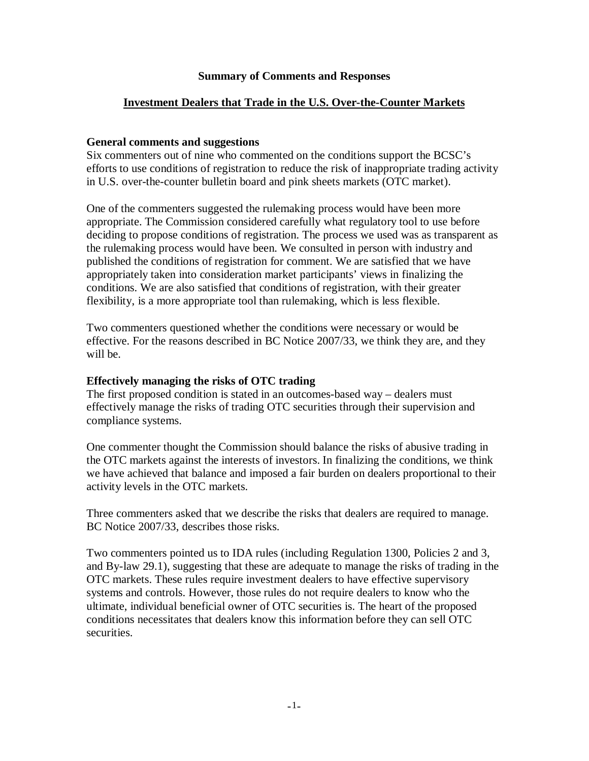### **Summary of Comments and Responses**

### **Investment Dealers that Trade in the U.S. Over-the-Counter Markets**

#### **General comments and suggestions**

Six commenters out of nine who commented on the conditions support the BCSC's efforts to use conditions of registration to reduce the risk of inappropriate trading activity in U.S. over-the-counter bulletin board and pink sheets markets (OTC market).

One of the commenters suggested the rulemaking process would have been more appropriate. The Commission considered carefully what regulatory tool to use before deciding to propose conditions of registration. The process we used was as transparent as the rulemaking process would have been. We consulted in person with industry and published the conditions of registration for comment. We are satisfied that we have appropriately taken into consideration market participants' views in finalizing the conditions. We are also satisfied that conditions of registration, with their greater flexibility, is a more appropriate tool than rulemaking, which is less flexible.

Two commenters questioned whether the conditions were necessary or would be effective. For the reasons described in BC Notice 2007/33, we think they are, and they will be.

#### **Effectively managing the risks of OTC trading**

The first proposed condition is stated in an outcomes-based way – dealers must effectively manage the risks of trading OTC securities through their supervision and compliance systems.

One commenter thought the Commission should balance the risks of abusive trading in the OTC markets against the interests of investors. In finalizing the conditions, we think we have achieved that balance and imposed a fair burden on dealers proportional to their activity levels in the OTC markets.

Three commenters asked that we describe the risks that dealers are required to manage. BC Notice 2007/33, describes those risks.

Two commenters pointed us to IDA rules (including Regulation 1300, Policies 2 and 3, and By-law 29.1), suggesting that these are adequate to manage the risks of trading in the OTC markets. These rules require investment dealers to have effective supervisory systems and controls. However, those rules do not require dealers to know who the ultimate, individual beneficial owner of OTC securities is. The heart of the proposed conditions necessitates that dealers know this information before they can sell OTC securities.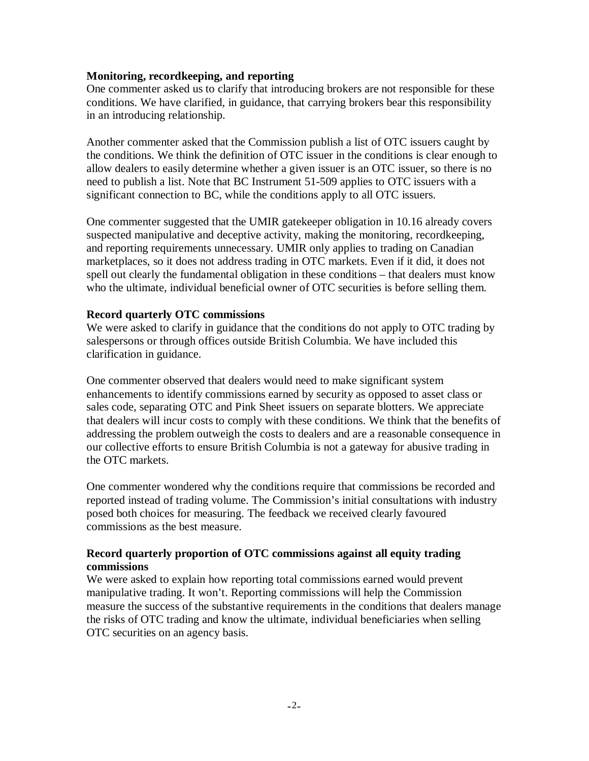### **Monitoring, recordkeeping, and reporting**

One commenter asked us to clarify that introducing brokers are not responsible for these conditions. We have clarified, in guidance, that carrying brokers bear this responsibility in an introducing relationship.

Another commenter asked that the Commission publish a list of OTC issuers caught by the conditions. We think the definition of OTC issuer in the conditions is clear enough to allow dealers to easily determine whether a given issuer is an OTC issuer, so there is no need to publish a list. Note that BC Instrument 51-509 applies to OTC issuers with a significant connection to BC, while the conditions apply to all OTC issuers.

One commenter suggested that the UMIR gatekeeper obligation in 10.16 already covers suspected manipulative and deceptive activity, making the monitoring, recordkeeping, and reporting requirements unnecessary. UMIR only applies to trading on Canadian marketplaces, so it does not address trading in OTC markets. Even if it did, it does not spell out clearly the fundamental obligation in these conditions – that dealers must know who the ultimate, individual beneficial owner of OTC securities is before selling them.

#### **Record quarterly OTC commissions**

We were asked to clarify in guidance that the conditions do not apply to OTC trading by salespersons or through offices outside British Columbia. We have included this clarification in guidance.

One commenter observed that dealers would need to make significant system enhancements to identify commissions earned by security as opposed to asset class or sales code, separating OTC and Pink Sheet issuers on separate blotters. We appreciate that dealers will incur costs to comply with these conditions. We think that the benefits of addressing the problem outweigh the costs to dealers and are a reasonable consequence in our collective efforts to ensure British Columbia is not a gateway for abusive trading in the OTC markets.

One commenter wondered why the conditions require that commissions be recorded and reported instead of trading volume. The Commission's initial consultations with industry posed both choices for measuring. The feedback we received clearly favoured commissions as the best measure.

### **Record quarterly proportion of OTC commissions against all equity trading commissions**

We were asked to explain how reporting total commissions earned would prevent manipulative trading. It won't. Reporting commissions will help the Commission measure the success of the substantive requirements in the conditions that dealers manage the risks of OTC trading and know the ultimate, individual beneficiaries when selling OTC securities on an agency basis.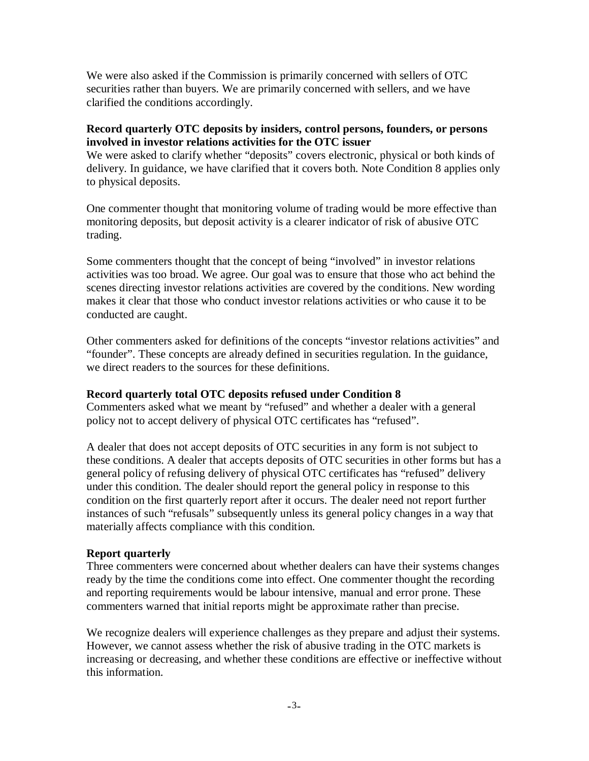We were also asked if the Commission is primarily concerned with sellers of OTC securities rather than buyers. We are primarily concerned with sellers, and we have clarified the conditions accordingly.

## **Record quarterly OTC deposits by insiders, control persons, founders, or persons involved in investor relations activities for the OTC issuer**

We were asked to clarify whether "deposits" covers electronic, physical or both kinds of delivery. In guidance, we have clarified that it covers both. Note Condition 8 applies only to physical deposits.

One commenter thought that monitoring volume of trading would be more effective than monitoring deposits, but deposit activity is a clearer indicator of risk of abusive OTC trading.

Some commenters thought that the concept of being "involved" in investor relations activities was too broad. We agree. Our goal was to ensure that those who act behind the scenes directing investor relations activities are covered by the conditions. New wording makes it clear that those who conduct investor relations activities or who cause it to be conducted are caught.

Other commenters asked for definitions of the concepts "investor relations activities" and "founder". These concepts are already defined in securities regulation. In the guidance, we direct readers to the sources for these definitions.

### **Record quarterly total OTC deposits refused under Condition 8**

Commenters asked what we meant by "refused" and whether a dealer with a general policy not to accept delivery of physical OTC certificates has "refused".

A dealer that does not accept deposits of OTC securities in any form is not subject to these conditions. A dealer that accepts deposits of OTC securities in other forms but has a general policy of refusing delivery of physical OTC certificates has "refused" delivery under this condition. The dealer should report the general policy in response to this condition on the first quarterly report after it occurs. The dealer need not report further instances of such "refusals" subsequently unless its general policy changes in a way that materially affects compliance with this condition.

## **Report quarterly**

Three commenters were concerned about whether dealers can have their systems changes ready by the time the conditions come into effect. One commenter thought the recording and reporting requirements would be labour intensive, manual and error prone. These commenters warned that initial reports might be approximate rather than precise.

We recognize dealers will experience challenges as they prepare and adjust their systems. However, we cannot assess whether the risk of abusive trading in the OTC markets is increasing or decreasing, and whether these conditions are effective or ineffective without this information.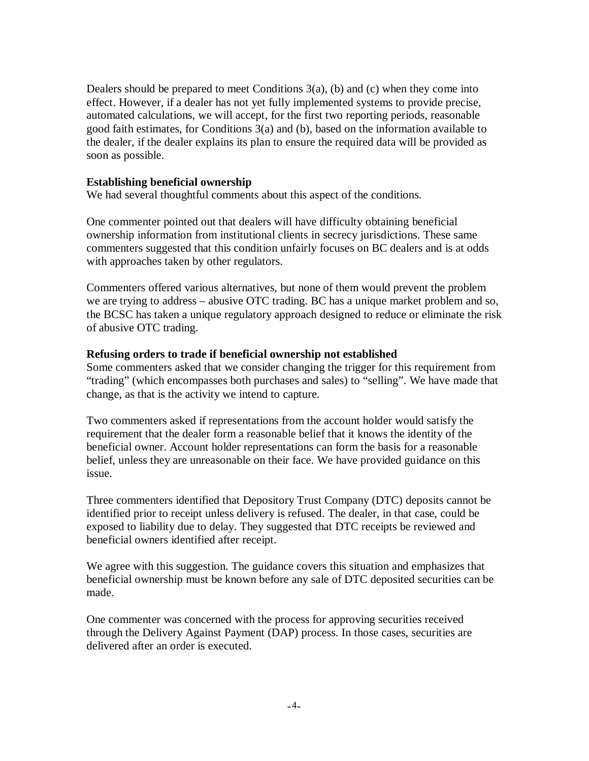Dealers should be prepared to meet Conditions  $3(a)$ , (b) and (c) when they come into effect. However, if a dealer has not yet fully implemented systems to provide precise, automated calculations, we will accept, for the first two reporting periods, reasonable good faith estimates, for Conditions 3(a) and (b), based on the information available to the dealer, if the dealer explains its plan to ensure the required data will be provided as soon as possible.

#### **Establishing beneficial ownership**

We had several thoughtful comments about this aspect of the conditions.

One commenter pointed out that dealers will have difficulty obtaining beneficial ownership information from institutional clients in secrecy jurisdictions. These same commenters suggested that this condition unfairly focuses on BC dealers and is at odds with approaches taken by other regulators.

Commenters offered various alternatives, but none of them would prevent the problem we are trying to address – abusive OTC trading. BC has a unique market problem and so, the BCSC has taken a unique regulatory approach designed to reduce or eliminate the risk of abusive OTC trading.

#### **Refusing orders to trade if beneficial ownership not established**

Some commenters asked that we consider changing the trigger for this requirement from "trading" (which encompasses both purchases and sales) to "selling". We have made that change, as that is the activity we intend to capture.

Two commenters asked if representations from the account holder would satisfy the requirement that the dealer form a reasonable belief that it knows the identity of the beneficial owner. Account holder representations can form the basis for a reasonable belief, unless they are unreasonable on their face. We have provided guidance on this issue.

Three commenters identified that Depository Trust Company (DTC) deposits cannot be identified prior to receipt unless delivery is refused. The dealer, in that case, could be exposed to liability due to delay. They suggested that DTC receipts be reviewed and beneficial owners identified after receipt.

We agree with this suggestion. The guidance covers this situation and emphasizes that beneficial ownership must be known before any sale of DTC deposited securities can be made.

One commenter was concerned with the process for approving securities received through the Delivery Against Payment (DAP) process. In those cases, securities are delivered after an order is executed.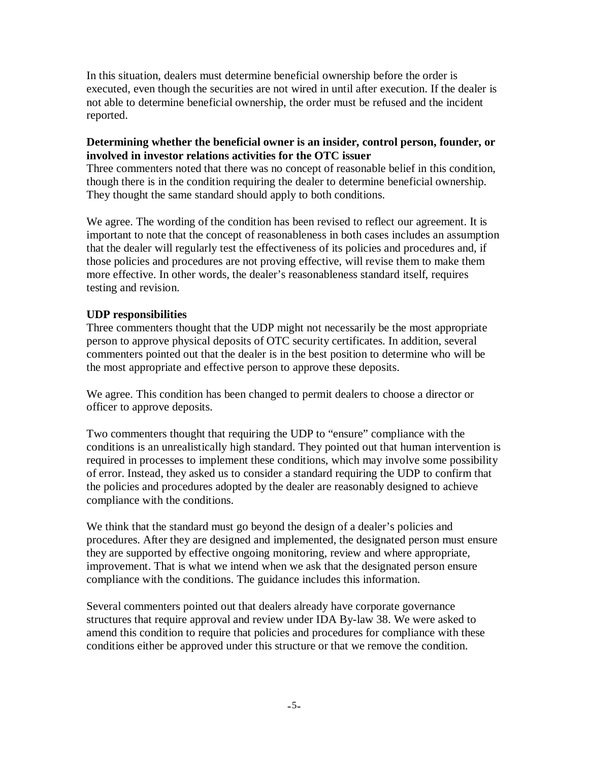In this situation, dealers must determine beneficial ownership before the order is executed, even though the securities are not wired in until after execution. If the dealer is not able to determine beneficial ownership, the order must be refused and the incident reported.

## **Determining whether the beneficial owner is an insider, control person, founder, or involved in investor relations activities for the OTC issuer**

Three commenters noted that there was no concept of reasonable belief in this condition, though there is in the condition requiring the dealer to determine beneficial ownership. They thought the same standard should apply to both conditions.

We agree. The wording of the condition has been revised to reflect our agreement. It is important to note that the concept of reasonableness in both cases includes an assumption that the dealer will regularly test the effectiveness of its policies and procedures and, if those policies and procedures are not proving effective, will revise them to make them more effective. In other words, the dealer's reasonableness standard itself, requires testing and revision.

## **UDP responsibilities**

Three commenters thought that the UDP might not necessarily be the most appropriate person to approve physical deposits of OTC security certificates. In addition, several commenters pointed out that the dealer is in the best position to determine who will be the most appropriate and effective person to approve these deposits.

We agree. This condition has been changed to permit dealers to choose a director or officer to approve deposits.

Two commenters thought that requiring the UDP to "ensure" compliance with the conditions is an unrealistically high standard. They pointed out that human intervention is required in processes to implement these conditions, which may involve some possibility of error. Instead, they asked us to consider a standard requiring the UDP to confirm that the policies and procedures adopted by the dealer are reasonably designed to achieve compliance with the conditions.

We think that the standard must go beyond the design of a dealer's policies and procedures. After they are designed and implemented, the designated person must ensure they are supported by effective ongoing monitoring, review and where appropriate, improvement. That is what we intend when we ask that the designated person ensure compliance with the conditions. The guidance includes this information.

Several commenters pointed out that dealers already have corporate governance structures that require approval and review under IDA By-law 38. We were asked to amend this condition to require that policies and procedures for compliance with these conditions either be approved under this structure or that we remove the condition.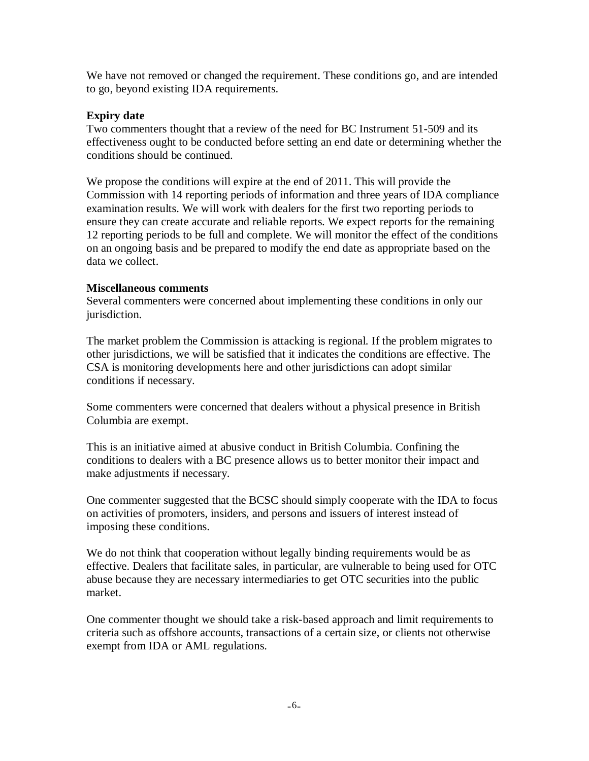We have not removed or changed the requirement. These conditions go, and are intended to go, beyond existing IDA requirements.

## **Expiry date**

Two commenters thought that a review of the need for BC Instrument 51-509 and its effectiveness ought to be conducted before setting an end date or determining whether the conditions should be continued.

We propose the conditions will expire at the end of 2011. This will provide the Commission with 14 reporting periods of information and three years of IDA compliance examination results. We will work with dealers for the first two reporting periods to ensure they can create accurate and reliable reports. We expect reports for the remaining 12 reporting periods to be full and complete. We will monitor the effect of the conditions on an ongoing basis and be prepared to modify the end date as appropriate based on the data we collect.

## **Miscellaneous comments**

Several commenters were concerned about implementing these conditions in only our jurisdiction.

The market problem the Commission is attacking is regional. If the problem migrates to other jurisdictions, we will be satisfied that it indicates the conditions are effective. The CSA is monitoring developments here and other jurisdictions can adopt similar conditions if necessary.

Some commenters were concerned that dealers without a physical presence in British Columbia are exempt.

This is an initiative aimed at abusive conduct in British Columbia. Confining the conditions to dealers with a BC presence allows us to better monitor their impact and make adjustments if necessary.

One commenter suggested that the BCSC should simply cooperate with the IDA to focus on activities of promoters, insiders, and persons and issuers of interest instead of imposing these conditions.

We do not think that cooperation without legally binding requirements would be as effective. Dealers that facilitate sales, in particular, are vulnerable to being used for OTC abuse because they are necessary intermediaries to get OTC securities into the public market.

One commenter thought we should take a risk-based approach and limit requirements to criteria such as offshore accounts, transactions of a certain size, or clients not otherwise exempt from IDA or AML regulations.